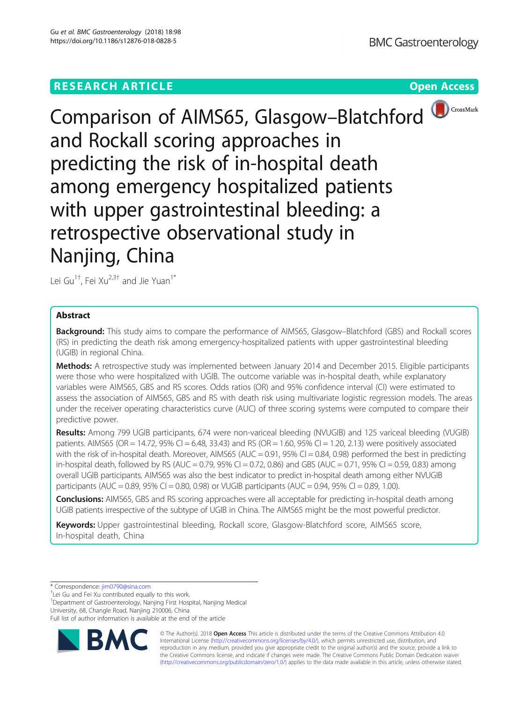## **RESEARCH ARTICLE Example 2018 CONSUMING A RESEARCH ARTICLE**



Comparison of AIMS65, Glasgow-Blatchford and Rockall scoring approaches in predicting the risk of in-hospital death among emergency hospitalized patients with upper gastrointestinal bleeding: a retrospective observational study in Nanjing, China

Lei Gu<sup>1†</sup>, Fei Xu<sup>2,3†</sup> and Jie Yuan<sup>1\*</sup>

## Abstract

**Background:** This study aims to compare the performance of AIMS65, Glasgow–Blatchford (GBS) and Rockall scores (RS) in predicting the death risk among emergency-hospitalized patients with upper gastrointestinal bleeding (UGIB) in regional China.

Methods: A retrospective study was implemented between January 2014 and December 2015. Eligible participants were those who were hospitalized with UGIB. The outcome variable was in-hospital death, while explanatory variables were AIMS65, GBS and RS scores. Odds ratios (OR) and 95% confidence interval (CI) were estimated to assess the association of AIMS65, GBS and RS with death risk using multivariate logistic regression models. The areas under the receiver operating characteristics curve (AUC) of three scoring systems were computed to compare their predictive power.

Results: Among 799 UGIB participants, 674 were non-variceal bleeding (NVUGIB) and 125 variceal bleeding (VUGIB) patients. AIMS65 (OR = 14.72, 95% CI = 6.48, 33.43) and RS (OR = 1.60, 95% CI = 1.20, 2.13) were positively associated with the risk of in-hospital death. Moreover, AIMS65 (AUC = 0.91, 95% CI = 0.84, 0.98) performed the best in predicting in-hospital death, followed by RS (AUC = 0.79, 95% CI = 0.72, 0.86) and GBS (AUC = 0.71, 95% CI = 0.59, 0.83) among overall UGIB participants. AIMS65 was also the best indicator to predict in-hospital death among either NVUGIB participants (AUC = 0.89, 95% CI = 0.80, 0.98) or VUGIB participants (AUC = 0.94, 95% CI = 0.89, 1.00).

Conclusions: AIMS65, GBS and RS scoring approaches were all acceptable for predicting in-hospital death among UGIB patients irrespective of the subtype of UGIB in China. The AIMS65 might be the most powerful predictor.

Keywords: Upper gastrointestinal bleeding, Rockall score, Glasgow-Blatchford score, AIMS65 score, In-hospital death, China

\* Correspondence: [jim0790@sina.com](mailto:jim0790@sina.com) †

<sup>†</sup>Lei Gu and Fei Xu contributed equally to this work.

<sup>1</sup>Department of Gastroenterology, Nanjing First Hospital, Nanjing Medical University, 68, Changle Road, Nanjing 210006, China

Full list of author information is available at the end of the article



© The Author(s). 2018 Open Access This article is distributed under the terms of the Creative Commons Attribution 4.0 International License [\(http://creativecommons.org/licenses/by/4.0/](http://creativecommons.org/licenses/by/4.0/)), which permits unrestricted use, distribution, and reproduction in any medium, provided you give appropriate credit to the original author(s) and the source, provide a link to the Creative Commons license, and indicate if changes were made. The Creative Commons Public Domain Dedication waiver [\(http://creativecommons.org/publicdomain/zero/1.0/](http://creativecommons.org/publicdomain/zero/1.0/)) applies to the data made available in this article, unless otherwise stated.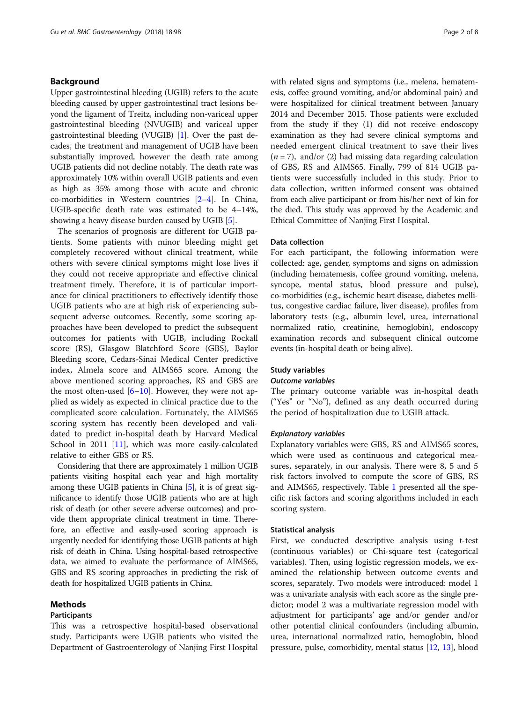## Background

Upper gastrointestinal bleeding (UGIB) refers to the acute bleeding caused by upper gastrointestinal tract lesions beyond the ligament of Treitz, including non-variceal upper gastrointestinal bleeding (NVUGIB) and variceal upper gastrointestinal bleeding (VUGIB) [[1](#page-7-0)]. Over the past decades, the treatment and management of UGIB have been substantially improved, however the death rate among UGIB patients did not decline notably. The death rate was approximately 10% within overall UGIB patients and even as high as 35% among those with acute and chronic co-morbidities in Western countries [\[2](#page-7-0)–[4\]](#page-7-0). In China, UGIB-specific death rate was estimated to be 4–14%, showing a heavy disease burden caused by UGIB [[5\]](#page-7-0).

The scenarios of prognosis are different for UGIB patients. Some patients with minor bleeding might get completely recovered without clinical treatment, while others with severe clinical symptoms might lose lives if they could not receive appropriate and effective clinical treatment timely. Therefore, it is of particular importance for clinical practitioners to effectively identify those UGIB patients who are at high risk of experiencing subsequent adverse outcomes. Recently, some scoring approaches have been developed to predict the subsequent outcomes for patients with UGIB, including Rockall score (RS), Glasgow Blatchford Score (GBS), Baylor Bleeding score, Cedars-Sinai Medical Center predictive index, Almela score and AIMS65 score. Among the above mentioned scoring approaches, RS and GBS are the most often-used  $[6–10]$  $[6–10]$  $[6–10]$ . However, they were not applied as widely as expected in clinical practice due to the complicated score calculation. Fortunately, the AIMS65 scoring system has recently been developed and validated to predict in-hospital death by Harvard Medical School in 2011 [\[11\]](#page-7-0), which was more easily-calculated relative to either GBS or RS.

Considering that there are approximately 1 million UGIB patients visiting hospital each year and high mortality among these UGIB patients in China [[5](#page-7-0)], it is of great significance to identify those UGIB patients who are at high risk of death (or other severe adverse outcomes) and provide them appropriate clinical treatment in time. Therefore, an effective and easily-used scoring approach is urgently needed for identifying those UGIB patients at high risk of death in China. Using hospital-based retrospective data, we aimed to evaluate the performance of AIMS65, GBS and RS scoring approaches in predicting the risk of death for hospitalized UGIB patients in China.

### Methods

#### Participants

This was a retrospective hospital-based observational study. Participants were UGIB patients who visited the Department of Gastroenterology of Nanjing First Hospital with related signs and symptoms (i.e., melena, hematemesis, coffee ground vomiting, and/or abdominal pain) and were hospitalized for clinical treatment between January 2014 and December 2015. Those patients were excluded from the study if they (1) did not receive endoscopy examination as they had severe clinical symptoms and needed emergent clinical treatment to save their lives  $(n = 7)$ , and/or (2) had missing data regarding calculation of GBS, RS and AIMS65. Finally, 799 of 814 UGIB patients were successfully included in this study. Prior to data collection, written informed consent was obtained from each alive participant or from his/her next of kin for the died. This study was approved by the Academic and Ethical Committee of Nanjing First Hospital.

## Data collection

For each participant, the following information were collected: age, gender, symptoms and signs on admission (including hematemesis, coffee ground vomiting, melena, syncope, mental status, blood pressure and pulse), co-morbidities (e.g., ischemic heart disease, diabetes mellitus, congestive cardiac failure, liver disease), profiles from laboratory tests (e.g., albumin level, urea, international normalized ratio, creatinine, hemoglobin), endoscopy examination records and subsequent clinical outcome events (in-hospital death or being alive).

#### Study variables

#### Outcome variables

The primary outcome variable was in-hospital death ("Yes" or "No"), defined as any death occurred during the period of hospitalization due to UGIB attack.

#### Explanatory variables

Explanatory variables were GBS, RS and AIMS65 scores, which were used as continuous and categorical measures, separately, in our analysis. There were 8, 5 and 5 risk factors involved to compute the score of GBS, RS and AIMS65, respectively. Table [1](#page-2-0) presented all the specific risk factors and scoring algorithms included in each scoring system.

#### Statistical analysis

First, we conducted descriptive analysis using t-test (continuous variables) or Chi-square test (categorical variables). Then, using logistic regression models, we examined the relationship between outcome events and scores, separately. Two models were introduced: model 1 was a univariate analysis with each score as the single predictor; model 2 was a multivariate regression model with adjustment for participants' age and/or gender and/or other potential clinical confounders (including albumin, urea, international normalized ratio, hemoglobin, blood pressure, pulse, comorbidity, mental status [\[12,](#page-7-0) [13\]](#page-7-0), blood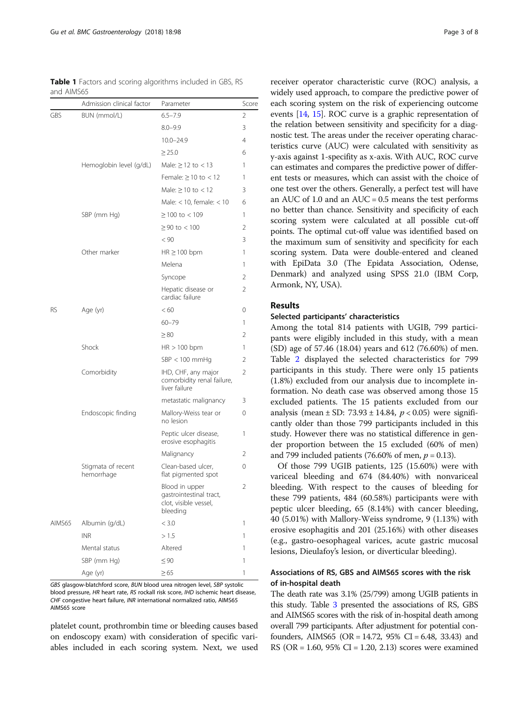<span id="page-2-0"></span>Table 1 Factors and scoring algorithms included in GBS, RS and AIMS65

|           | Admission clinical factor        | Parameter                                                                      | Score |
|-----------|----------------------------------|--------------------------------------------------------------------------------|-------|
| GBS       | BUN (mmol/L)                     | $6.5 - 7.9$                                                                    | 2     |
|           |                                  | $8.0 - 9.9$                                                                    | 3     |
|           |                                  | $10.0 - 24.9$                                                                  | 4     |
|           |                                  | $\geq$ 25.0                                                                    | 6     |
|           | Hemoglobin level (g/dL)          | Male: $\geq$ 12 to $<$ 13                                                      | 1     |
|           |                                  | Female: $\geq$ 10 to < 12                                                      | 1     |
|           |                                  | Male: $> 10$ to $< 12$                                                         | 3     |
|           |                                  | Male: $<$ 10, female: $<$ 10                                                   | 6     |
|           | SBP (mm Hg)                      | $≥ 100$ to < 109                                                               | 1     |
|           |                                  | $≥$ 90 to < 100                                                                | 2     |
|           |                                  | < 90                                                                           | 3     |
|           | Other marker                     | $HR \geq 100$ bpm                                                              | 1     |
|           |                                  | Melena                                                                         | 1     |
|           |                                  | Syncope                                                                        | 2     |
|           |                                  | Hepatic disease or<br>cardiac failure                                          | 2     |
| <b>RS</b> | Age (yr)                         | < 60                                                                           | 0     |
|           |                                  | $60 - 79$                                                                      | 1     |
|           |                                  | $\geq 80$                                                                      | 2     |
|           | Shock                            | $HR > 100$ bpm                                                                 | 1     |
|           |                                  | $SBP < 100$ mmHg                                                               | 2     |
|           | Comorbidity                      | IHD, CHF, any major<br>comorbidity renal failure,<br>liver failure             | 2     |
|           |                                  | metastatic malignancy                                                          | 3     |
|           | Endoscopic finding               | Mallory-Weiss tear or<br>no lesion                                             | 0     |
|           |                                  | Peptic ulcer disease,<br>erosive esophagitis                                   | 1     |
|           |                                  | Malignancy                                                                     | 2     |
|           | Stigmata of recent<br>hemorrhage | Clean-based ulcer,<br>flat pigmented spot                                      | 0     |
|           |                                  | Blood in upper<br>gastrointestinal tract,<br>clot, visible vessel,<br>bleeding | 2     |
| AIMS65    | Albumin (g/dL)                   | < 3.0                                                                          | 1     |
|           | <b>INR</b>                       | >1.5                                                                           | 1     |
|           | Mental status                    | Altered                                                                        | 1     |
|           | SBP (mm Hg)                      | $\leq 90$                                                                      | 1     |
|           | Age (yr)                         | $\geq 65$                                                                      | 1     |

GBS glasgow-blatchford score, BUN blood urea nitrogen level, SBP systolic blood pressure, HR heart rate, RS rockall risk score, IHD ischemic heart disease, CHF congestive heart failure, INR international normalized ratio, AIMS65 AIMS65 score

platelet count, prothrombin time or bleeding causes based on endoscopy exam) with consideration of specific variables included in each scoring system. Next, we used

receiver operator characteristic curve (ROC) analysis, a widely used approach, to compare the predictive power of each scoring system on the risk of experiencing outcome events [[14](#page-7-0), [15](#page-7-0)]. ROC curve is a graphic representation of the relation between sensitivity and specificity for a diagnostic test. The areas under the receiver operating characteristics curve (AUC) were calculated with sensitivity as y-axis against 1-specifity as x-axis. With AUC, ROC curve can estimates and compares the predictive power of different tests or measures, which can assist with the choice of one test over the others. Generally, a perfect test will have an AUC of 1.0 and an  $AUC = 0.5$  means the test performs no better than chance. Sensitivity and specificity of each scoring system were calculated at all possible cut-off points. The optimal cut-off value was identified based on the maximum sum of sensitivity and specificity for each scoring system. Data were double-entered and cleaned with EpiData 3.0 (The Epidata Association, Odense, Denmark) and analyzed using SPSS 21.0 (IBM Corp, Armonk, NY, USA).

## Results

#### Selected participants' characteristics

Among the total 814 patients with UGIB, 799 participants were eligibly included in this study, with a mean (SD) age of 57.46 (18.04) years and 612 (76.60%) of men. Table [2](#page-3-0) displayed the selected characteristics for 799 participants in this study. There were only 15 patients (1.8%) excluded from our analysis due to incomplete information. No death case was observed among those 15 excluded patients. The 15 patients excluded from our analysis (mean  $\pm$  SD: 73.93  $\pm$  14.84,  $p < 0.05$ ) were significantly older than those 799 participants included in this study. However there was no statistical difference in gender proportion between the 15 excluded (60% of men) and 799 included patients (76.60% of men,  $p = 0.13$ ).

Of those 799 UGIB patients, 125 (15.60%) were with variceal bleeding and 674 (84.40%) with nonvariceal bleeding. With respect to the causes of bleeding for these 799 patients, 484 (60.58%) participants were with peptic ulcer bleeding, 65 (8.14%) with cancer bleeding, 40 (5.01%) with Mallory-Weiss syndrome, 9 (1.13%) with erosive esophagitis and 201 (25.16%) with other diseases (e.g., gastro-oesophageal varices, acute gastric mucosal lesions, Dieulafoy's lesion, or diverticular bleeding).

## Associations of RS, GBS and AIMS65 scores with the risk of in-hospital death

The death rate was 3.1% (25/799) among UGIB patients in this study. Table [3](#page-4-0) presented the associations of RS, GBS and AIMS65 scores with the risk of in-hospital death among overall 799 participants. After adjustment for potential confounders, AIMS65 (OR = 14.72,  $95\%$  CI = 6.48, 33.43) and RS ( $OR = 1.60$ ,  $95\%$   $CI = 1.20$ ,  $2.13$ ) scores were examined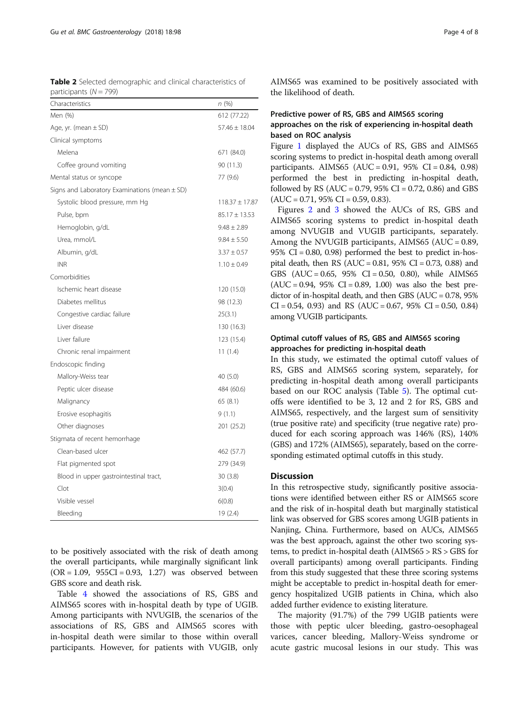<span id="page-3-0"></span>Table 2 Selected demographic and clinical characteristics of participants  $(N = 799)$ 

| Characteristics                                   | n (%)              |
|---------------------------------------------------|--------------------|
| Men (%)                                           | 612 (77.22)        |
| Age, yr. (mean $\pm$ SD)                          | $57.46 \pm 18.04$  |
| Clinical symptoms                                 |                    |
| Melena                                            | 671 (84.0)         |
| Coffee ground vomiting                            | 90 (11.3)          |
| Mental status or syncope                          | 77 (9.6)           |
| Signs and Laboratory Examinations (mean $\pm$ SD) |                    |
| Systolic blood pressure, mm Hg                    | $118.37 \pm 17.87$ |
| Pulse, bpm                                        | $85.17 \pm 13.53$  |
| Hemoglobin, g/dL                                  | $9.48 \pm 2.89$    |
| Urea, mmol/L                                      | $9.84 \pm 5.50$    |
| Albumin, g/dL                                     | $3.37 \pm 0.57$    |
| <b>INR</b>                                        | $1.10 \pm 0.49$    |
| Comorbidities                                     |                    |
| Ischemic heart disease                            | 120 (15.0)         |
| Diabetes mellitus                                 | 98 (12.3)          |
| Congestive cardiac failure                        | 25(3.1)            |
| Liver disease                                     | 130 (16.3)         |
| Liver failure                                     | 123 (15.4)         |
| Chronic renal impairment                          | 11 $(1.4)$         |
| Endoscopic finding                                |                    |
| Mallory-Weiss tear                                | 40 (5.0)           |
| Peptic ulcer disease                              | 484 (60.6)         |
| Malignancy                                        | 65(8.1)            |
| Erosive esophagitis                               | 9(1.1)             |
| Other diagnoses                                   | 201 (25.2)         |
| Stigmata of recent hemorrhage                     |                    |
| Clean-based ulcer                                 | 462 (57.7)         |
| Flat pigmented spot                               | 279 (34.9)         |
| Blood in upper gastrointestinal tract,            | 30(3.8)            |
| Clot                                              | 3(0.4)             |
| Visible vessel                                    | 6(0.8)             |
| Bleeding                                          | 19 (2.4)           |

to be positively associated with the risk of death among the overall participants, while marginally significant link  $(OR = 1.09, 955CI = 0.93, 1.27)$  was observed between GBS score and death risk.

Table [4](#page-4-0) showed the associations of RS, GBS and AIMS65 scores with in-hospital death by type of UGIB. Among participants with NVUGIB, the scenarios of the associations of RS, GBS and AIMS65 scores with in-hospital death were similar to those within overall participants. However, for patients with VUGIB, only AIMS65 was examined to be positively associated with the likelihood of death.

## Predictive power of RS, GBS and AIMS65 scoring approaches on the risk of experiencing in-hospital death based on ROC analysis

Figure [1](#page-5-0) displayed the AUCs of RS, GBS and AIMS65 scoring systems to predict in-hospital death among overall participants. AIMS65 (AUC = 0.91, 95% CI = 0.84, 0.98) performed the best in predicting in-hospital death, followed by RS (AUC =  $0.79$ ,  $95\%$  CI =  $0.72$ ,  $0.86$ ) and GBS  $(AUC = 0.71, 95\% CI = 0.59, 0.83).$ 

Figures [2](#page-5-0) and [3](#page-6-0) showed the AUCs of RS, GBS and AIMS65 scoring systems to predict in-hospital death among NVUGIB and VUGIB participants, separately. Among the NVUGIB participants, AIMS65 (AUC = 0.89, 95%  $CI = 0.80, 0.98$ ) performed the best to predict in-hospital death, then RS (AUC =  $0.81$ ,  $95\%$  CI =  $0.73$ ,  $0.88$ ) and GBS  $(AUC = 0.65, 95\% CI = 0.50, 0.80)$ , while AIMS65  $(AUC = 0.94, 95\% CI = 0.89, 1.00)$  was also the best predictor of in-hospital death, and then GBS (AUC = 0.78, 95%  $CI = 0.54, 0.93$  and RS (AUC = 0.67, 95% CI = 0.50, 0.84) among VUGIB participants.

## Optimal cutoff values of RS, GBS and AIMS65 scoring approaches for predicting in-hospital death

In this study, we estimated the optimal cutoff values of RS, GBS and AIMS65 scoring system, separately, for predicting in-hospital death among overall participants based on our ROC analysis (Table [5\)](#page-6-0). The optimal cutoffs were identified to be 3, 12 and 2 for RS, GBS and AIMS65, respectively, and the largest sum of sensitivity (true positive rate) and specificity (true negative rate) produced for each scoring approach was 146% (RS), 140% (GBS) and 172% (AIMS65), separately, based on the corresponding estimated optimal cutoffs in this study.

## Discussion

In this retrospective study, significantly positive associations were identified between either RS or AIMS65 score and the risk of in-hospital death but marginally statistical link was observed for GBS scores among UGIB patients in Nanjing, China. Furthermore, based on AUCs, AIMS65 was the best approach, against the other two scoring systems, to predict in-hospital death (AIMS65 > RS > GBS for overall participants) among overall participants. Finding from this study suggested that these three scoring systems might be acceptable to predict in-hospital death for emergency hospitalized UGIB patients in China, which also added further evidence to existing literature.

The majority (91.7%) of the 799 UGIB patients were those with peptic ulcer bleeding, gastro-oesophageal varices, cancer bleeding, Mallory-Weiss syndrome or acute gastric mucosal lesions in our study. This was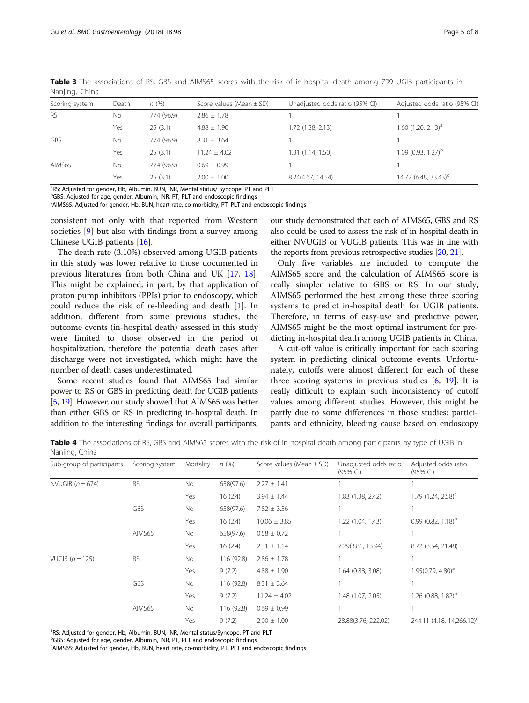| Scoring system | Death     | n(%)       | Score values (Mean $\pm$ SD) | Unadjusted odds ratio (95% CI) | Adjusted odds ratio (95% CI)     |
|----------------|-----------|------------|------------------------------|--------------------------------|----------------------------------|
| <b>RS</b>      | <b>No</b> | 774 (96.9) | $2.86 \pm 1.78$              |                                |                                  |
|                | Yes       | 25(3.1)    | $4.88 \pm 1.90$              | 1.72 (1.38, 2.13)              | $1.60$ (1.20, 2.13) <sup>a</sup> |
| <b>GBS</b>     | <b>No</b> | 774 (96.9) | $8.31 \pm 3.64$              |                                |                                  |
|                | Yes       | 25(3.1)    | $11.24 \pm 4.02$             | 1.31 (1.14, 1.50)              | $1.09(0.93, 1.27)^b$             |
| AIMS65         | <b>No</b> | 774 (96.9) | $0.69 \pm 0.99$              |                                |                                  |
|                | Yes       | 25(3.1)    | $2.00 \pm 1.00$              | 8.24(4.67, 14.54)              | 14.72 $(6.48, 33.43)^c$          |
|                |           |            |                              |                                |                                  |

<span id="page-4-0"></span>Table 3 The associations of RS, GBS and AIMS65 scores with the risk of in-hospital death among 799 UGIB participants in Nanjing, China

<sup>a</sup>RS: Adjusted for gender, Hb, Albumin, BUN, INR, Mental status/ Syncope, PT and PLT

<sup>b</sup>GBS: Adjusted for age, gender, Albumin, INR, PT, PLT and endoscopic findings

<sup>c</sup>AIMS65: Adjusted for gender, Hb, BUN, heart rate, co-morbidity, PT, PLT and endoscopic findings

consistent not only with that reported from Western societies [\[9](#page-7-0)] but also with findings from a survey among Chinese UGIB patients [[16\]](#page-7-0).

The death rate (3.10%) observed among UGIB patients in this study was lower relative to those documented in previous literatures from both China and UK [[17,](#page-7-0) [18](#page-7-0)]. This might be explained, in part, by that application of proton pump inhibitors (PPIs) prior to endoscopy, which could reduce the risk of re-bleeding and death [[1\]](#page-7-0). In addition, different from some previous studies, the outcome events (in-hospital death) assessed in this study were limited to those observed in the period of hospitalization, therefore the potential death cases after discharge were not investigated, which might have the number of death cases underestimated.

Some recent studies found that AIMS65 had similar power to RS or GBS in predicting death for UGIB patients [[5](#page-7-0), [19](#page-7-0)]. However, our study showed that AIMS65 was better than either GBS or RS in predicting in-hospital death. In addition to the interesting findings for overall participants, our study demonstrated that each of AIMS65, GBS and RS also could be used to assess the risk of in-hospital death in either NVUGIB or VUGIB patients. This was in line with the reports from previous retrospective studies [\[20](#page-7-0), [21](#page-7-0)].

Only five variables are included to compute the AIMS65 score and the calculation of AIMS65 score is really simpler relative to GBS or RS. In our study, AIMS65 performed the best among these three scoring systems to predict in-hospital death for UGIB patients. Therefore, in terms of easy-use and predictive power, AIMS65 might be the most optimal instrument for predicting in-hospital death among UGIB patients in China.

A cut-off value is critically important for each scoring system in predicting clinical outcome events. Unfortunately, cutoffs were almost different for each of these three scoring systems in previous studies  $[6, 19]$  $[6, 19]$  $[6, 19]$ . It is really difficult to explain such inconsistency of cutoff values among different studies. However, this might be partly due to some differences in those studies: participants and ethnicity, bleeding cause based on endoscopy

Table 4 The associations of RS, GBS and AIMS65 scores with the risk of in-hospital death among participants by type of UGIB in Nanjing, China

| Sub-group of participants | Scoring system | Mortality | n(%)       | Score values (Mean $\pm$ SD) | Unadjusted odds ratio<br>(95% CI) | Adjusted odds ratio<br>$(95% \text{ Cl})$ |
|---------------------------|----------------|-----------|------------|------------------------------|-----------------------------------|-------------------------------------------|
| NVUGIB $(n = 674)$        | <b>RS</b>      | No        | 658(97.6)  | $2.27 \pm 1.41$              |                                   |                                           |
|                           |                | Yes       | 16(2.4)    | $3.94 \pm 1.44$              | 1.83 (1.38, 2.42)                 | 1.79 $(1.24, 2.58)^{a}$                   |
|                           | <b>GBS</b>     | No        | 658(97.6)  | $7.82 \pm 3.56$              |                                   |                                           |
|                           |                | Yes       | 16(2.4)    | $10.06 \pm 3.85$             | 1.22 (1.04, 1.43)                 | $0.99(0.82, 1.18)^{b}$                    |
|                           | AIMS65         | No        | 658(97.6)  | $0.58 \pm 0.72$              |                                   |                                           |
|                           |                | Yes       | 16(2.4)    | $2.31 \pm 1.14$              | 7.29(3.81, 13.94)                 | 8.72 (3.54, 21.48) <sup>c</sup>           |
| VUGIB $(n = 125)$         | <b>RS</b>      | No        | 116 (92.8) | $2.86 \pm 1.78$              |                                   |                                           |
|                           |                | Yes       | 9(7.2)     | $4.88 \pm 1.90$              | 1.64 (0.88, 3.08)                 | $1.95(0.79, 4.80)^{a}$                    |
|                           | <b>GBS</b>     | No        | 116 (92.8) | $8.31 \pm 3.64$              |                                   |                                           |
|                           |                | Yes       | 9(7.2)     | $11.24 \pm 4.02$             | 1.48 (1.07, 2.05)                 | 1.26 $(0.88, 1.82)^b$                     |
|                           | AIMS65         | No        | 116 (92.8) | $0.69 \pm 0.99$              |                                   |                                           |
|                           |                | Yes       | 9(7.2)     | $2.00 \pm 1.00$              | 28.88(3.76, 222.02)               | 244.11 (4.18, 14,266.12) <sup>c</sup>     |

<sup>a</sup>RS: Adjusted for gender, Hb, Albumin, BUN, INR, Mental status/Syncope, PT and PLT

<sup>b</sup>GBS: Adjusted for age, gender, Albumin, INR, PT, PLT and endoscopic findings

AIMS65: Adjusted for gender, Hb, BUN, heart rate, co-morbidity, PT, PLT and endoscopic findings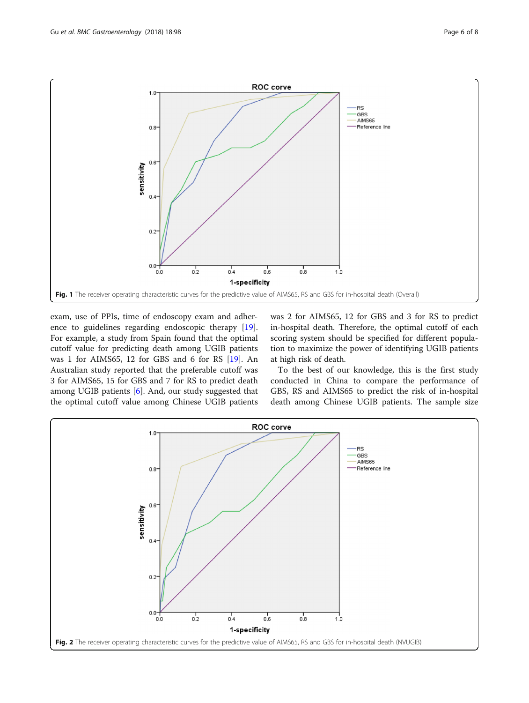<span id="page-5-0"></span>

exam, use of PPIs, time of endoscopy exam and adherence to guidelines regarding endoscopic therapy [\[19](#page-7-0)]. For example, a study from Spain found that the optimal cutoff value for predicting death among UGIB patients was 1 for AIMS65, 12 for GBS and 6 for RS [[19](#page-7-0)]. An Australian study reported that the preferable cutoff was 3 for AIMS65, 15 for GBS and 7 for RS to predict death among UGIB patients [[6\]](#page-7-0). And, our study suggested that the optimal cutoff value among Chinese UGIB patients was 2 for AIMS65, 12 for GBS and 3 for RS to predict in-hospital death. Therefore, the optimal cutoff of each scoring system should be specified for different population to maximize the power of identifying UGIB patients at high risk of death.

To the best of our knowledge, this is the first study conducted in China to compare the performance of GBS, RS and AIMS65 to predict the risk of in-hospital death among Chinese UGIB patients. The sample size

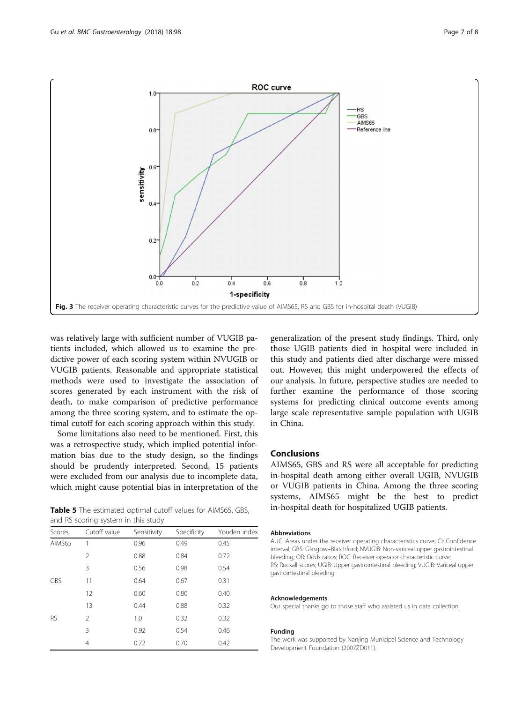<span id="page-6-0"></span>

was relatively large with sufficient number of VUGIB patients included, which allowed us to examine the predictive power of each scoring system within NVUGIB or VUGIB patients. Reasonable and appropriate statistical methods were used to investigate the association of scores generated by each instrument with the risk of death, to make comparison of predictive performance among the three scoring system, and to estimate the optimal cutoff for each scoring approach within this study.

Some limitations also need to be mentioned. First, this was a retrospective study, which implied potential information bias due to the study design, so the findings should be prudently interpreted. Second, 15 patients were excluded from our analysis due to incomplete data, which might cause potential bias in interpretation of the

Table 5 The estimated optimal cutoff values for AIMS65, GBS, and RS scoring system in this study

| Scores     | Cutoff value  | Sensitivity | Specificity | Youden index |
|------------|---------------|-------------|-------------|--------------|
| AIMS65     |               | 0.96        | 0.49        | 0.45         |
|            | 2             | 0.88        | 0.84        | 0.72         |
|            | 3             | 0.56        | 0.98        | 0.54         |
| <b>GBS</b> | 11            | 0.64        | 0.67        | 0.31         |
|            | 12            | 0.60        | 0.80        | 0.40         |
|            | 13            | 0.44        | 0.88        | 0.32         |
| <b>RS</b>  | $\mathcal{P}$ | 1.0         | 0.32        | 0.32         |
|            | 3             | 0.92        | 0.54        | 0.46         |
|            | 4             | 0.72        | 0.70        | 0.42         |

generalization of the present study findings. Third, only those UGIB patients died in hospital were included in this study and patients died after discharge were missed out. However, this might underpowered the effects of our analysis. In future, perspective studies are needed to further examine the performance of those scoring systems for predicting clinical outcome events among large scale representative sample population with UGIB in China.

## Conclusions

AIMS65, GBS and RS were all acceptable for predicting in-hospital death among either overall UGIB, NVUGIB or VUGIB patients in China. Among the three scoring systems, AIMS65 might be the best to predict in-hospital death for hospitalized UGIB patients.

#### **Abbreviations**

AUC: Areas under the receiver operating characteristics curve; CI: Confidence interval; GBS: Glasgow–Blatchford; NVUGIB: Non-variceal upper gastrointestinal bleeding; OR: Odds ratios; ROC: Receiver operator characteristic curve; RS: Rockall scores; UGIB: Upper gastrointestinal bleeding; VUGIB: Variceal upper gastrointestinal bleeding

#### Acknowledgements

Our special thanks go to those staff who assisted us in data collection.

#### Funding

The work was supported by Nanjing Municipal Science and Technology Development Foundation (2007ZD011).